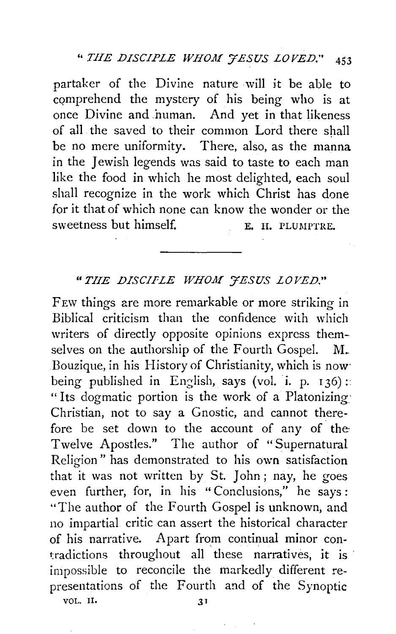partaker of the Divine nature will it be able to comprehend the mystery of his being who is at once Divine and human. And yet in that likeness of all the saved to their common Lord there shall be no mere uniformity. There, also, as the manna in the Jewish legends was said to taste to each man like the food in which he most delighted, each soul shall recognize in the work which Christ has done for it that of which none can know the wonder or the sweetness but himself. E. H. PLUMPTRE.

## *"THE DISCIPLE WHOH J'ESUS LOVED."*

FEw things are more remarkable or more striking in Biblical criticism than the confidence with which writers of directly opposite opinions express themselves on the authorship of the Fourth Gospel. M. Bouzique, in his History of Christianity, which is now· being published in English, says (vol. i. p. 136): "Its dogmatic portion is the work of a Platonizing Christian, not to say a Gnostic, and cannot therefore be set down to the account of any of the· Twelve Apostles." The author of "Supernatural Religion" has demonstrated to his own satisfaction that it was not written by St. John; nay, he goes even further, for, in his " Conclusions," he says : "The author of the Fourth Gospel is unknown, and no impartial critic can assert the historical character of his narrative. Apart from continual minor contradictions throughout all these narratives, it is impossible to reconcile the markedly different representations of the Fourth and of the Synoptic VOL. II. 31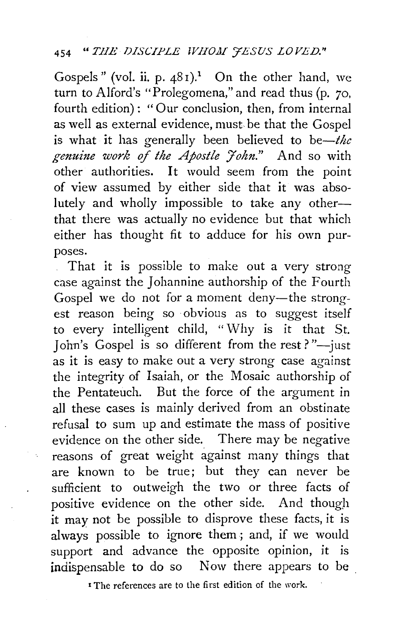Gospels" (vol. ii. p.  $481$ ).<sup>1</sup> On the other hand, we turn to Alford's "Prolegomena," and read thus (p. 70, fourth edition) : "Our conclusion, then, from internal as well as external evidence, must be that the Gospel is what it has generally been believed to be-*the* genuine work of the Apostle John." And so with other authorities. It would seem from the point of view assumed by either side that it was absolutely and wholly impossible to take any otherthat there was actually no evidence but that which either has thought fit to adduce for his own purposes.

That it is possible to make out a very strong case against the Johannine authorship of the Fourth Gospel we do not for a moment deny-the strongest reason being so ·obvious as to suggest itself to every intelligent child, "Why is it that St. John's Gospel is so different from the rest?" $-$ just as it is easy to make out a very strong case against the integrity of Isaiah, or the Mosaic authorship of the Pentateuch. But the force of the argument in all these cases is mainly derived from an obstinate refusal to sum up and estimate the mass of positive evidence on the other side. There may be negative reasons of great weight against many things that are known to be true; but they can never be sufficient to outweigh the two or three facts of positive evidence on the other side. And though *it* may not be possible to disprove these facts, it is always possible to ignore them ; and, if we would support and advance the opposite opinion, it is indispensable to do so Now there appears to be

**I** The references are to the first edition of the work.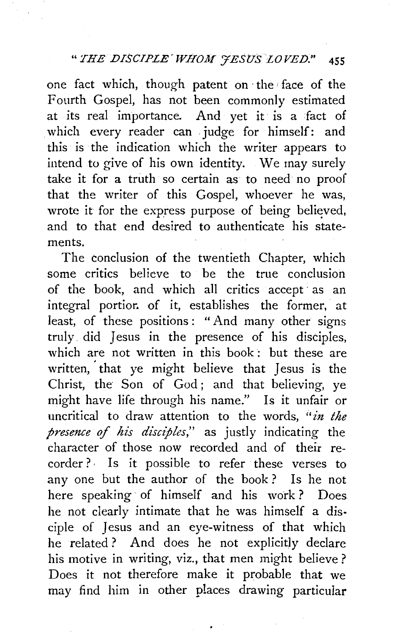one fact which, though patent on ·the face of the Fourth Gospel, has not been commonly estimated at its real importance. And yet it is a fact of which every reader can judge for himself: and this is the indication which the writer appears to intend to give of his own identity. We may surely take it for a truth so certain as to need no proof that the writer of this Gospel, whoever he was, wrote it for the express purpose of being believed, and to that end desired to authenticate his statements.

The conclusion of the twentieth Chapter, which some critics believe to be the true conclusion of the book, and which all critics accept as an integral portior. of it, establishes the former, at least, of these positions: "And many other signs truly did Jesus in the presence of his disciples, which are not written in this book: but these are written, that ye might believe that Jesus is the Christ, the Son of God; and that believing, ye might have life through his name." Is it unfair or uncritical to draw attention to the words, *"in the presence* of *his disciples,"* as justly indicating the character of those now recorded and of their recorder?· Is it possible to refer these verses to any one but the author of the book ? Is he not here speaking of himself and his work? Does he not dearly intimate that he was himself a disciple of Jesus and an eye-witness of that which he related ? And does he not explicitly declare his motive in writing, viz., that men might believe ? Does it not therefore make it probable that we may find him in other places drawing particular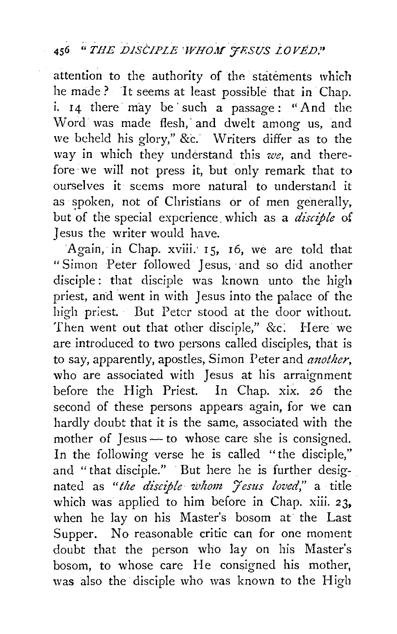attention to the authority of the statements which he made ? "It seems at least possible that in Chap. i. 14 there may be such a passage: "And the Word was made flesh, and dwelt among us, and we beheld his glory," &c." Writers differ as to the way in which they understand this *we,* and therefore· we will not press it, but only remark that to ourselves it seems more natural to understand it as spoken, not of Christians or of men generally, but of the special experience. which as a *disciple* of Jesus the writer would have.

Again, in Chap. xviii; 15, 16, we are told that "Simon Peter followed Jesus, and so did another disciple: that disciple was known unto the high priest, and went in with Jesus into the palace of the high priest. But Peter stood at the door without. Then went out that other disciple," &c. Here we are introduced to two persons called disciples, that is to say, apparently, apostles, Simon Peter and *another*, who are associated with Jesus at his arraignment before the High Priest. In Chap. xix. *26* the second of these persons appears again, for we can hardly doubt that it is the same, associated with the mother of Jesus $-$  to whose care she is consigned. In the following verse he is called "the disciple," and "that disciple." · But here he is further designated as "the disciple whom Jesus loved," a title which was applied to him before in Chap. xiii. 23, when he lay on his Master's bosom at the Last Supper. No reasonable critic can for one moment doubt that the person who lay on his Master's bosom, to whose care He consigned his mother, was also the disciple who was known to the High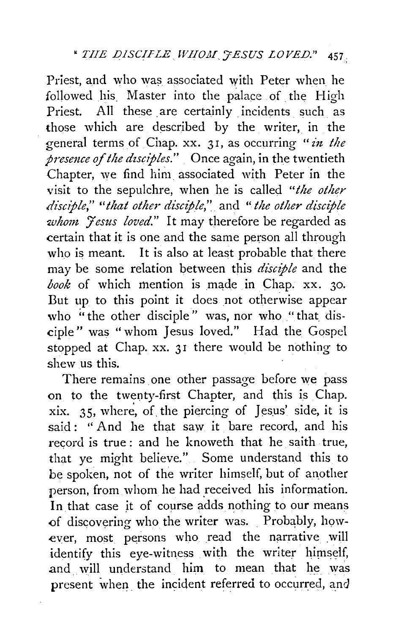Priest, and who was associated with Peter when he followed his. Master into the palace of the High Priest. All these are certainly incidents such as those which are described by the writer, in the general terms of Chap. xx. 31, as occurring "in the *presmce of the dzsciples."* Once again, in the twentieth Chapter, we find him associated with Peter in the visit to the sepulchre, when he is called *"the other disciple," "that other disciple,"* and "*the other disciple whom Jesus loved.*" It may therefore be regarded as certain that it is one and the same person all through who is meant. It is also at least probable that there may be some relation between this *disciple* and the *book* of which mention is made in Chap. xx. 30. But up to this point it does not otherwise appear who "the other disciple" was, nor who "that disciple" was "whom Jesus loved." Had the Gospel stopped at Chap. xx. 31 there would be nothing to shew us this.

There remains one other passage before we pass on to the twenty-first Chapter, and this is Chap. xix.  $35$ , where, of the piercing of Jesus' side, it is said: "And he that saw it bare record, and his record is true: and he knoweth that he saith true. that ye might believe." Some understand this to be spoken, not of the writer himself, but of another person, from whom he had received his information. In that case it of course adds nothing to our means of discovering who the writer was. Probably, however, most persons who read the narrative will identify this eye-witness with the writer himself, and will understand him to mean that he was present when the incident referred to occurred, and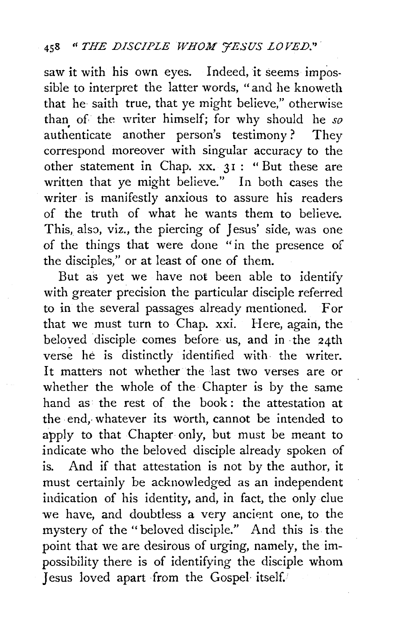saw it with his own eyes. Indeed, it seems impossible to interpret the latter words, "and he knoweth that he saith true, that ye might believe," otherwise than of the writer himself; for why should he so authenticate another person's testimony? They correspond moreover with singular accuracy to the other statement in Chap. xx. 31 : "But these are written that ye might believe." In both cases the writer is manifestly anxious to assure his readers of the truth of what he wants them to believe. This, also, viz., the piercing of Jesus' side, was one of the things that were done "in the presence of the disciples," or at least of one of them.

But as yet we have not been able to identify with greater precision the particular disciple referred to in the several passages already mentioned. For that we must turn to Chap. xxi. Here, again, the beloved disciple comes before us, and in the 24th verse he is distinctly identified with the writer. It matters not whether the last *two* verses are or whether the whole of the Chapter is by the same hand as the rest of the book : the attestation at the end, whatever its worth, cannot be intended to apply to that Chapter only, but must be meant to indicate who the beloved disciple already spoken of is. And if that attestation is not by the author, it must certainly be acknowledged as an independent indication of his identity, and, in fact, the only clue we have, and doubtless a very ancient one, to the mystery of the "beloved disciple." And this is. the point that we are desirous of urging, namely, the impossibility there is of identifying the disciple whom Jesus loved apart ·from the Gospel· itself.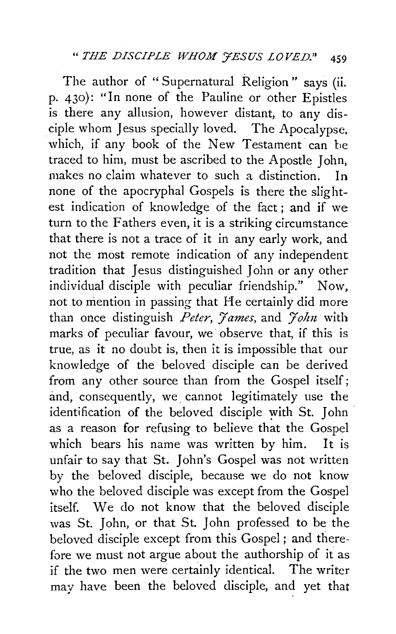The author of "Supernatural Religion" says (ii. p. 430): "In none of the Pauline or other Epistles is there any allusion, however distant, to any disciple whom Jesus specially loved. The Apocalypse, which, if any book of the New Testament can be traced to him, must be ascribed to the Apostle John, makes no claim whatever to such a distinction. In none of the apocryphal Gospels is there the slightest indication of knowledge of the fact ; and if we turn to the Fathers even, it is a striking circumstance that there is not a trace of it in any early work, and not the most remote indication of any independent tradition that Jesus distinguished John or any other individual disciple with peculiar friendship." Now, not to mention in passing that He certainly did more than once distinguish *Peter*, *James*, and *John* with marks of peculiar favour, we observe that, if this is true, as it no doubt is, then it is impossible that our knowledge of the beloved disciple can be derived from any other source than from the Gospel itself; and, consequently, we. cannot legitimately use the identification of the beloved disciple with St. John as a reason for refusing to believe that the Gospel which bears his name was written by him. It is unfair to say that St. John's Gospel was not written by the beloved disciple, because we do not know who the beloved disciple was except from the Gospel itself. We do not know that the beloved disciple was St. John, or that St. John professed to be the beloved disciple except from this Gospel ; and therefore we must not argue about the authorship of it as if the two men were certainly identical. The writer may have been the beloved disciple, and yet that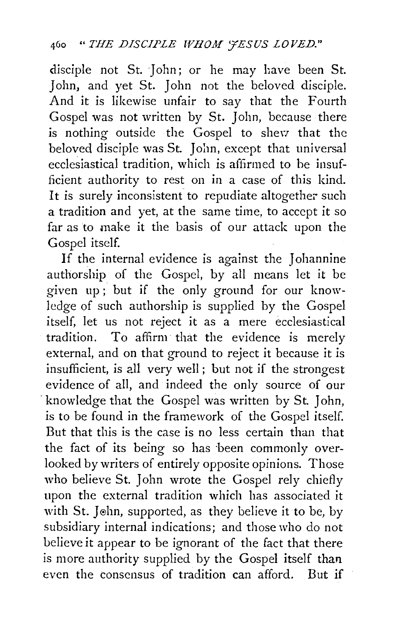disciple not St. John; or he may have been St. John, and yet St. John not the beloved disciple. And it is likewise unfair to say that the Fourth Gospel was not written by St. John, because there is nothing outside the Gospel to shevr that the beloved disciple was St. John, except that universal ecclesiastical tradition, which is affirmed to he insufficient authority to rest on in a case of this kind. It is surely inconsistent to repudiate altogether such a tradition and yet, at the same time, to accept it so far as to make it the basis of our attack upon the Gospel itself.

If the internal evidence is against the Johannine authorship of the Gospel, by all means let it be given up ; but if the only ground for our knowledge of such authorship is supplied by the Gospel itself, let us not reject it as a mere ecclesiastical tradition. To affirm that the evidence is merely external, and on that ground to reject it because it is insufficient, is all very well ; but not if the strongest evidence of all, and indeed the only source of our knowledge that the Gospel was written by St. John, is to be found in the framework of the Gospel itself. But that this is the case is no less certain than that the fact of its being so has been commonly overlooked by writers of entirely opposite opinions. Those who believe St. John wrote the Gospel rely chiefly upon the external tradition which has associated it with St. John, supported, as they believe it to be, by subsidiary internal indications; and those who do not believe it appear to be ignorant of the fact that there is more authority supplied by the Gospel itself than even the consensus of tradition can afford. But if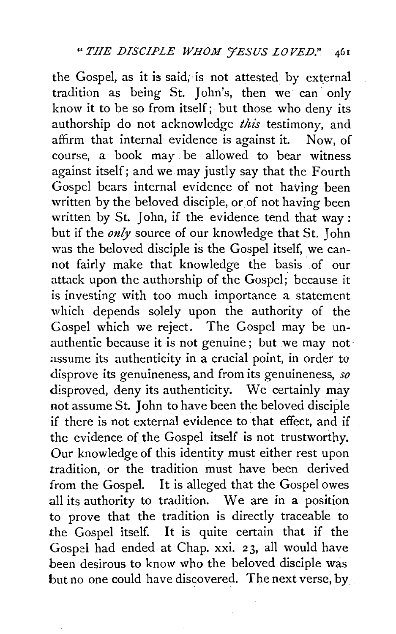the Gospel, as it is said, is not attested by external tradition as being St. John's, then we can· only know it to be so from itself; but those who deny its authorship do not acknowledge *this* testimony, and affirm that internal evidence is against it. Now, of course, a book may be allowed to bear witness against itself; and we may justly say that the Fourth Gospel bears internal evidence of not having been written by the beloved disciple, or of not having been written by St. John, if the evidence tend that way : but if the *only* source of our knowledge that St. John was the beloved disciple is the Gospel itself, we cannot fairly make that knowledge the basis of our attack upon the authorship of the Gospel; because it is investing with too much importance a statement which depends solely upon the authority of the Gospel which we reject. The Gospel may be unauthentic because it is not genuine; but we may not assume its authenticity in a crucial point, in order to disprove its genuineness, and from its genuineness, *so*  disproved, deny its authenticity. We certainly may not assume St. John to have been the beloved disciple if there is not external evidence to that effect, and if the evidence of the Gospel itself is not trustworthy. Our knowledge of this identity must either rest upon tradition, or the tradition must have been derived from the Gospel. It is alleged that the Gospel owes all its authority to tradition. We are in a position to prove that the tradition is directly traceable to the Gospel itself. It is quite certain that if the Gospel had ended at Chap. xxi. 23, all would have been desirous to know who the beloved disciple was but no one could have discovered. The next verse, by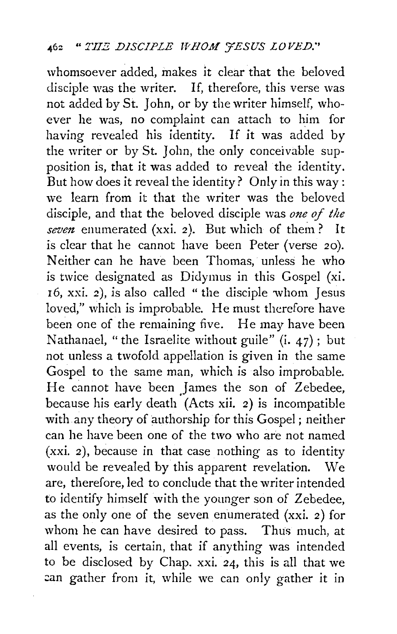whomsoever added, makes it clear that the beloved disciple was the writer. If, therefore, this verse was not added by St. John, or by the writer himself, whoever he was, no complaint can attach to him for having revealed his identity. If it was added by the writer or by St. John, the only conceivable supposition is, that it was added to reveal the identity. But how does it reveal the identity? Only in this way : we learn from it that the writer was the beloved disciple, and that the beloved disciple was *one of the seven* enumerated (xxi. 2). But which of them? It is clear that he cannot have been Peter (verse 20). Neither can he have been Thomas, unless he who is twice designated as Didymus in this Gospel (xi. 16, xxi. *2),* is also called "the disciple whom Jesus loved," which is improbable. He must therefore have been one of the remaining five. He may have been Nathanael, "the Israelite without guile"  $(i. 47)$ ; but not unless a twofold appellation is given in the same Gospel to the same man, which is also improbable. He cannot have been James the son of Zebedee, because his early death (Acts xii. 2) is incompatible with any theory of authorship for this Gospel ; neither can he have been one of the two who are not named (xxi. 2), because in that case nothing as to identity would be revealed by this apparent revelation. We are, therefore, led to conclude that the writer intended to identify himself with the younger son of Zebedee, as the only one of the seven enumerated (xxi. 2) for whom he can have desired to pass. Thus much, at all events, is certain, that if anything was intended to be disclosed by Chap. xxi. 24, this is all that we can gather from it, while we can only gather it in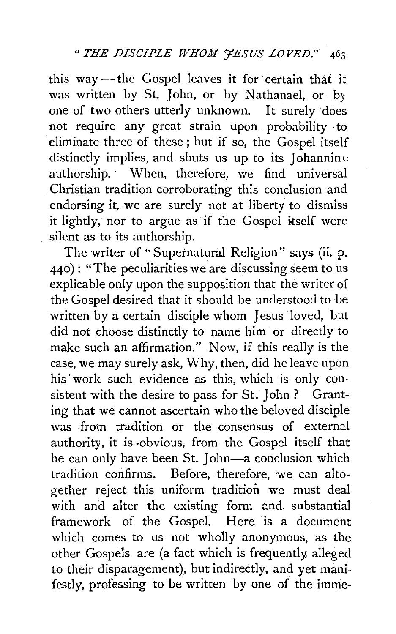this way-the Gospel leaves it for certain that it was written by St. John, or by Nathanael, or by one of two others utterly unknown. It surely 'does not require any great strain upon . probability to eliminate three of these; but if so, the Gospel itself distinctly implies, and shuts us up to its Johanning authorship. When, therefore, we find universal Christian tradition corroborating this conclusion and endorsing it, we are surely not at liberty to dismiss it lightly, nor to argue as if the Gospel itself were silent as to its authorship.

The writer of "Supernatural Religion" says (ii. p. 440): "The peculiarities we are discussing seem to us explicable only upon the supposition that the writer of the Gospel desired that it should be understood to be written by a certain disciple whom Jesus loved, but did not choose distinctly to name him or directly to make such an affirmation." Now, if this really is the case, we may surely ask, Why, then, did he leave upon his 'work such evidence as this, which is only consistent with the desire to pass for St. John ? Granting that we cannot ascertain who the beloved disciple was from tradition or the consensus of external authority, it is ·obvious, from the Gospel itself that he can only have been St. John-a conclusion which tradition confirms. Before, therefore, we can altogether reject this uniform tradition we must deal with and alter the existing form and substantial framework of the Gospel. Here is a document which comes to us not wholly anonymous, as the other Gospels are (a fact which is frequently, alleged to their disparagement), but indirectly, and yet manifestly, professing to be written by one of the imme